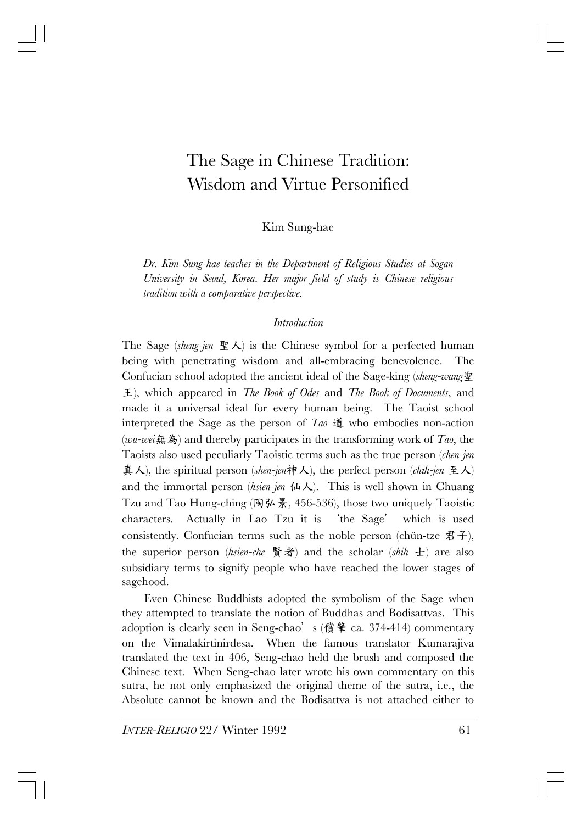# The Sage in Chinese Tradition: Wisdom and Virtue Personified

Kim Sung-hae

*Dr. Kim Sung-hae teaches in the Department of Religious Studies at Sogan University in Seoul, Korea. Her major field of study is Chinese religious tradition with a comparative perspective.* 

#### *Introduction*

The Sage (*sheng-jen* 聖人) is the Chinese symbol for a perfected human being with penetrating wisdom and all-embracing benevolence. The Confucian school adopted the ancient ideal of the Sage-king (*sheng-wang*聖 王), which appeared in *The Book of Odes* and *The Book of Documents*, and made it a universal ideal for every human being. The Taoist school interpreted the Sage as the person of *Tao* 道 who embodies non-action (*wu-wei*無為) and thereby participates in the transforming work of *Tao*, the Taoists also used peculiarly Taoistic terms such as the true person (*chen-jen* 真人), the spiritual person (*shen-jen*神人), the perfect person (*chih-jen* 至人) and the immortal person *(hsien-jen*  $\mathcal{L}$ ). This is well shown in Chuang Tzu and Tao Hung-ching (陶弘景, 456-536), those two uniquely Taoistic characters. Actually in Lao Tzu it is 'the Sage' which is used consistently. Confucian terms such as the noble person (chün-tze  $\sharp \mathcal{F}$ ), the superior person (*hsien-che* 賢者) and the scholar (*shih* 士) are also subsidiary terms to signify people who have reached the lower stages of sagehood.

Even Chinese Buddhists adopted the symbolism of the Sage when they attempted to translate the notion of Buddhas and Bodisattvas. This adoption is clearly seen in Seng-chao's (償肇 ca. 374-414) commentary on the Vimalakirtinirdesa. When the famous translator Kumarajiva translated the text in 406, Seng-chao held the brush and composed the Chinese text. When Seng-chao later wrote his own commentary on this sutra, he not only emphasized the original theme of the sutra, i.e., the Absolute cannot be known and the Bodisattva is not attached either to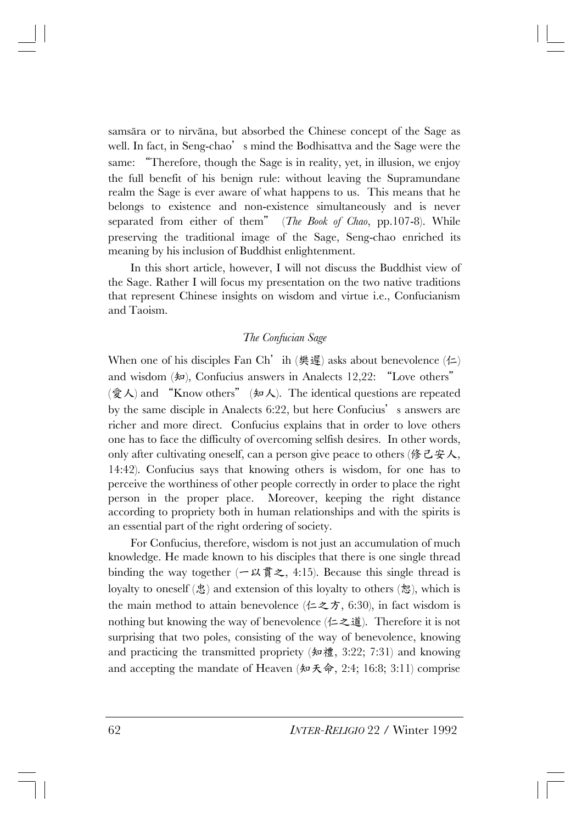samsāra or to nirvāna, but absorbed the Chinese concept of the Sage as well. In fact, in Seng-chao's mind the Bodhisattva and the Sage were the same: "Therefore, though the Sage is in reality, yet, in illusion, we enjoy the full benefit of his benign rule: without leaving the Supramundane realm the Sage is ever aware of what happens to us. This means that he belongs to existence and non-existence simultaneously and is never separated from either of them" (*The Book of Chao*, pp.107-8). While preserving the traditional image of the Sage, Seng-chao enriched its meaning by his inclusion of Buddhist enlightenment.

In this short article, however, I will not discuss the Buddhist view of the Sage. Rather I will focus my presentation on the two native traditions that represent Chinese insights on wisdom and virtue i.e., Confucianism and Taoism.

### *The Confucian Sage*

When one of his disciples Fan Ch' ih (樊遲) asks about benevolence  $(1\pm)$ and wisdom  $(*\mathfrak{p})$ , Confucius answers in Analects 12,22: "Love others"  $(\hat{\mathcal{F}}\mathcal{K})$  and "Know others" ( $\oint \mathcal{F}$ ). The identical questions are repeated by the same disciple in Analects 6:22, but here Confucius's answers are richer and more direct. Confucius explains that in order to love others one has to face the difficulty of overcoming selfish desires. In other words, only after cultivating oneself, can a person give peace to others (修己安人, 14:42). Confucius says that knowing others is wisdom, for one has to perceive the worthiness of other people correctly in order to place the right person in the proper place. Moreover, keeping the right distance according to propriety both in human relationships and with the spirits is an essential part of the right ordering of society.

For Confucius, therefore, wisdom is not just an accumulation of much knowledge. He made known to his disciples that there is one single thread binding the way together  $(-\times \text{F}z, 4:15)$ . Because this single thread is loyalty to oneself  $(\&)$  and extension of this loyalty to others  $(\&)$ , which is the main method to attain benevolence (仁之方, 6:30), in fact wisdom is nothing but knowing the way of benevolence  $(1\pm\pi\mathbf{i})$ . Therefore it is not surprising that two poles, consisting of the way of benevolence, knowing and practicing the transmitted propriety (知禮, 3:22; 7:31) and knowing and accepting the mandate of Heaven ( $\star \pi \star \hat{\varphi}$ , 2:4; 16:8; 3:11) comprise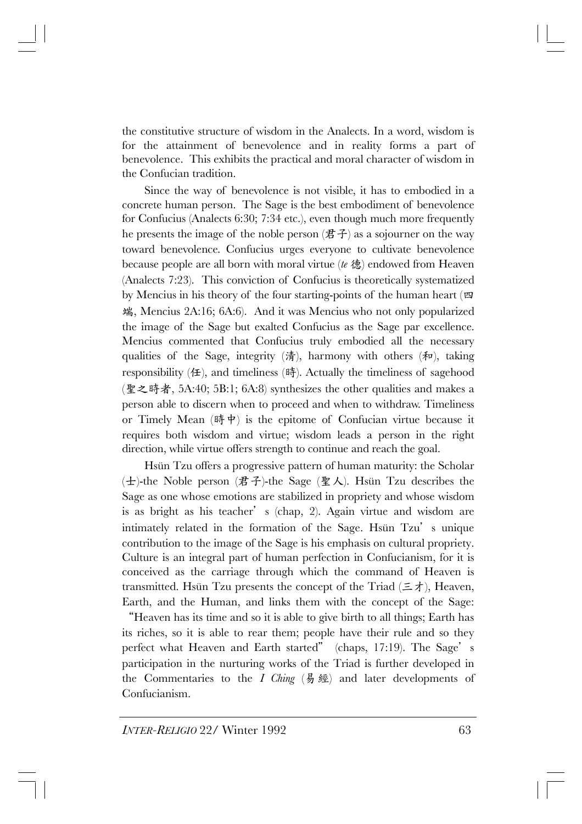the constitutive structure of wisdom in the Analects. In a word, wisdom is for the attainment of benevolence and in reality forms a part of benevolence. This exhibits the practical and moral character of wisdom in the Confucian tradition.

Since the way of benevolence is not visible, it has to embodied in a concrete human person. The Sage is the best embodiment of benevolence for Confucius (Analects 6:30; 7:34 etc.), even though much more frequently he presents the image of the noble person  $(\vec{z} \cdot \vec{f})$  as a sojourner on the way toward benevolence. Confucius urges everyone to cultivate benevolence because people are all born with moral virtue (*te* 德) endowed from Heaven (Analects 7:23). This conviction of Confucius is theoretically systematized by Mencius in his theory of the four starting-points of the human heart (四 端, Mencius 2A:16; 6A:6). And it was Mencius who not only popularized the image of the Sage but exalted Confucius as the Sage par excellence. Mencius commented that Confucius truly embodied all the necessary qualities of the Sage, integrity ( $\ddot{\hat{\pi}}$ ), harmony with others ( $\hat{\pi}$ ), taking responsibility  $(4)$ , and timeliness  $(4)$ . Actually the timeliness of sagehood (聖之時者, 5A:40; 5B:1; 6A:8) synthesizes the other qualities and makes a person able to discern when to proceed and when to withdraw. Timeliness or Timely Mean  $(\text{時 } \phi)$  is the epitome of Confucian virtue because it requires both wisdom and virtue; wisdom leads a person in the right direction, while virtue offers strength to continue and reach the goal.

Hsün Tzu offers a progressive pattern of human maturity: the Scholar (士)-the Noble person (君子)-the Sage (聖人). Hsün Tzu describes the Sage as one whose emotions are stabilized in propriety and whose wisdom is as bright as his teacher's (chap, 2). Again virtue and wisdom are intimately related in the formation of the Sage. Hsun Tzu's unique contribution to the image of the Sage is his emphasis on cultural propriety. Culture is an integral part of human perfection in Confucianism, for it is conceived as the carriage through which the command of Heaven is transmitted. Hsun Tzu presents the concept of the Triad  $(\equiv \pm)$ , Heaven, Earth, and the Human, and links them with the concept of the Sage:

"Heaven has its time and so it is able to give birth to all things; Earth has its riches, so it is able to rear them; people have their rule and so they perfect what Heaven and Earth started" (chaps, 17:19). The Sage's participation in the nurturing works of the Triad is further developed in the Commentaries to the *I Ching*  $(\frac{1}{2}, \frac{1}{2})$  and later developments of Confucianism.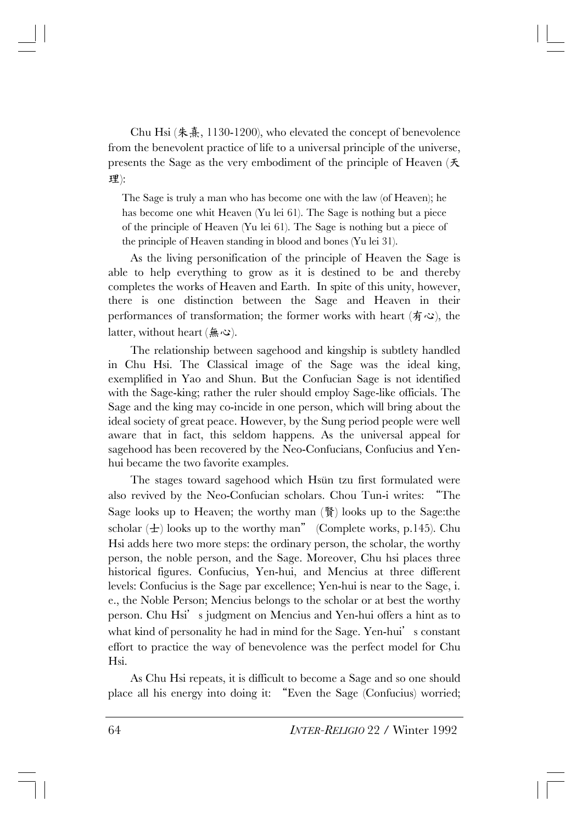Chu Hsi (朱熹, 1130-1200), who elevated the concept of benevolence from the benevolent practice of life to a universal principle of the universe, presents the Sage as the very embodiment of the principle of Heaven (天 理):

The Sage is truly a man who has become one with the law (of Heaven); he has become one whit Heaven (Yu lei 61). The Sage is nothing but a piece of the principle of Heaven (Yu lei 61). The Sage is nothing but a piece of the principle of Heaven standing in blood and bones (Yu lei 31).

As the living personification of the principle of Heaven the Sage is able to help everything to grow as it is destined to be and thereby completes the works of Heaven and Earth. In spite of this unity, however, there is one distinction between the Sage and Heaven in their performances of transformation; the former works with heart ( $\oint \mathcal{L}$ ), the latter, without heart  $(A, \infty)$ .

The relationship between sagehood and kingship is subtlety handled in Chu Hsi. The Classical image of the Sage was the ideal king, exemplified in Yao and Shun. But the Confucian Sage is not identified with the Sage-king; rather the ruler should employ Sage-like officials. The Sage and the king may co-incide in one person, which will bring about the ideal society of great peace. However, by the Sung period people were well aware that in fact, this seldom happens. As the universal appeal for sagehood has been recovered by the Neo-Confucians, Confucius and Yenhui became the two favorite examples.

The stages toward sagehood which Hsün tzu first formulated were also revived by the Neo-Confucian scholars. Chou Tun-i writes: "The Sage looks up to Heaven; the worthy man (賢) looks up to the Sage:the scholar  $(\pm)$  looks up to the worthy man" (Complete works, p.145). Chu Hsi adds here two more steps: the ordinary person, the scholar, the worthy person, the noble person, and the Sage. Moreover, Chu hsi places three historical figures. Confucius, Yen-hui, and Mencius at three different levels: Confucius is the Sage par excellence; Yen-hui is near to the Sage, i. e., the Noble Person; Mencius belongs to the scholar or at best the worthy person. Chu Hsi's judgment on Mencius and Yen-hui offers a hint as to what kind of personality he had in mind for the Sage. Yen-hui's constant effort to practice the way of benevolence was the perfect model for Chu Hsi.

As Chu Hsi repeats, it is difficult to become a Sage and so one should place all his energy into doing it: "Even the Sage (Confucius) worried;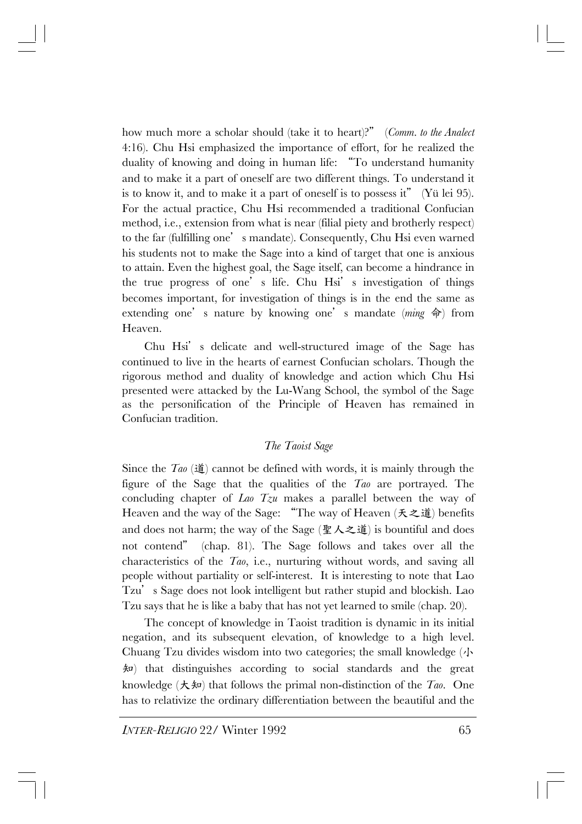how much more a scholar should (take it to heart)?" (*Comm. to the Analect* 4:16). Chu Hsi emphasized the importance of effort, for he realized the duality of knowing and doing in human life: "To understand humanity and to make it a part of oneself are two different things. To understand it is to know it, and to make it a part of oneself is to possess it" (Y $\ddot{u}$  lei 95). For the actual practice, Chu Hsi recommended a traditional Confucian method, i.e., extension from what is near (filial piety and brotherly respect) to the far (fulfilling one's mandate). Consequently, Chu Hsi even warned his students not to make the Sage into a kind of target that one is anxious to attain. Even the highest goal, the Sage itself, can become a hindrance in the true progress of one's life. Chu Hsi's investigation of things becomes important, for investigation of things is in the end the same as extending one's nature by knowing one's mandate (*ming* 命) from Heaven.

Chu Hsi's delicate and well-structured image of the Sage has continued to live in the hearts of earnest Confucian scholars. Though the rigorous method and duality of knowledge and action which Chu Hsi presented were attacked by the Lu-Wang School, the symbol of the Sage as the personification of the Principle of Heaven has remained in Confucian tradition.

## *The Taoist Sage*

Since the  $Taq$  ( $\sharp$ ) cannot be defined with words, it is mainly through the figure of the Sage that the qualities of the *Tao* are portrayed. The concluding chapter of *Lao Tzu* makes a parallel between the way of Heaven and the way of the Sage: "The way of Heaven (天之道) benefits and does not harm; the way of the Sage (聖人之道) is bountiful and does not contend" (chap. 81). The Sage follows and takes over all the characteristics of the *Tao*, i.e., nurturing without words, and saving all people without partiality or self-interest. It is interesting to note that Lao Tzu's Sage does not look intelligent but rather stupid and blockish. Lao Tzu says that he is like a baby that has not yet learned to smile (chap. 20).

The concept of knowledge in Taoist tradition is dynamic in its initial negation, and its subsequent elevation, of knowledge to a high level. Chuang Tzu divides wisdom into two categories; the small knowledge (小 知) that distinguishes according to social standards and the great knowledge  $(\star \ast)$  that follows the primal non-distinction of the *Tao*. One has to relativize the ordinary differentiation between the beautiful and the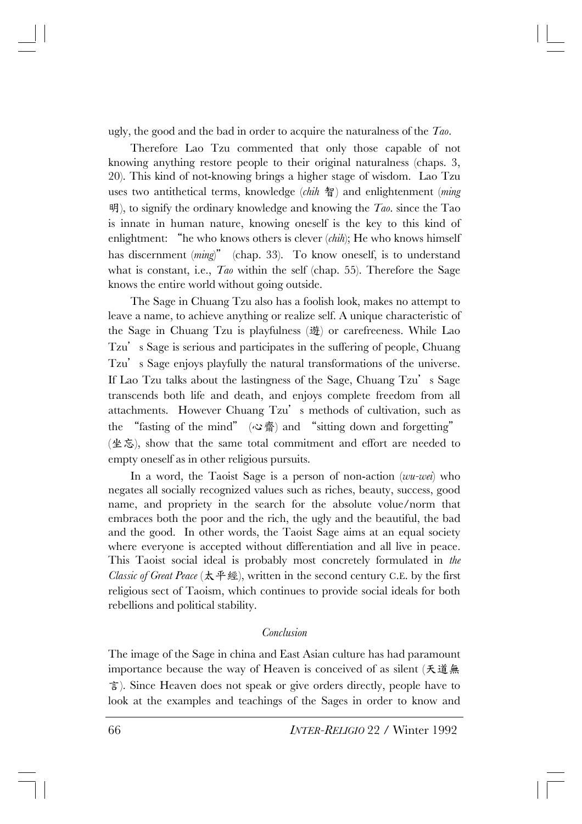ugly, the good and the bad in order to acquire the naturalness of the *Tao*.

Therefore Lao Tzu commented that only those capable of not knowing anything restore people to their original naturalness (chaps. 3, 20). This kind of not-knowing brings a higher stage of wisdom. Lao Tzu uses two antithetical terms, knowledge (*chih* 智) and enlightenment (*ming* 明), to signify the ordinary knowledge and knowing the *Tao*. since the Tao is innate in human nature, knowing oneself is the key to this kind of enlightment: "he who knows others is clever (*chih*); He who knows himself has discernment *(ming*)" *(chap.* 33). To know oneself, is to understand what is constant, i.e., *Tao* within the self (chap. 55). Therefore the Sage knows the entire world without going outside.

The Sage in Chuang Tzu also has a foolish look, makes no attempt to leave a name, to achieve anything or realize self. A unique characteristic of the Sage in Chuang Tzu is playfulness (遊) or carefreeness. While Lao Tzu's Sage is serious and participates in the suffering of people, Chuang Tzu's Sage enjoys playfully the natural transformations of the universe. If Lao Tzu talks about the lastingness of the Sage, Chuang Tzu's Sage transcends both life and death, and enjoys complete freedom from all attachments. However Chuang Tzu's methods of cultivation, such as the "fasting of the mind" (心齋) and "sitting down and forgetting" (坐忘), show that the same total commitment and effort are needed to empty oneself as in other religious pursuits.

In a word, the Taoist Sage is a person of non-action (*wu-wei*) who negates all socially recognized values such as riches, beauty, success, good name, and propriety in the search for the absolute volue/norm that embraces both the poor and the rich, the ugly and the beautiful, the bad and the good. In other words, the Taoist Sage aims at an equal society where everyone is accepted without differentiation and all live in peace. This Taoist social ideal is probably most concretely formulated in *the Classic of Great Peace* (太平經), written in the second century C.E. by the first religious sect of Taoism, which continues to provide social ideals for both rebellions and political stability.

### *Conclusion*

The image of the Sage in china and East Asian culture has had paramount importance because the way of Heaven is conceived of as silent (天道無 言). Since Heaven does not speak or give orders directly, people have to look at the examples and teachings of the Sages in order to know and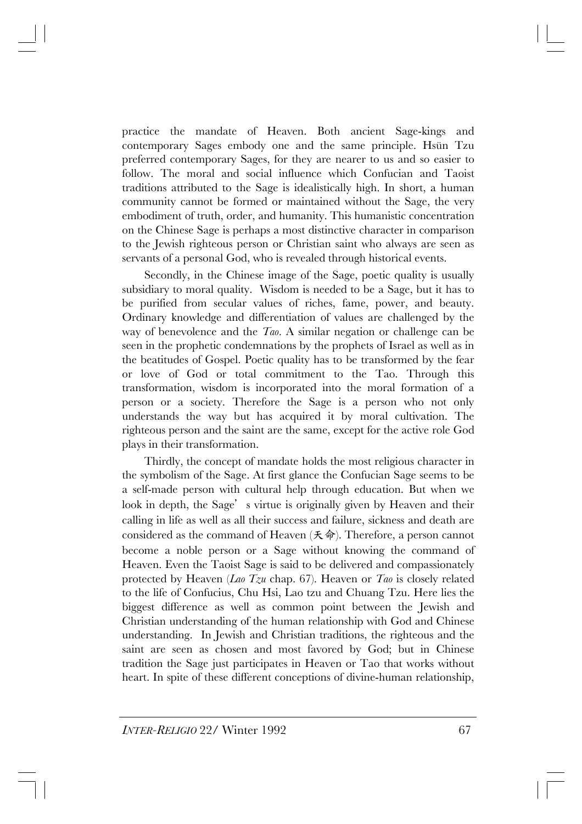practice the mandate of Heaven. Both ancient Sage-kings and contemporary Sages embody one and the same principle. Hsun Tzu preferred contemporary Sages, for they are nearer to us and so easier to follow. The moral and social influence which Confucian and Taoist traditions attributed to the Sage is idealistically high. In short, a human community cannot be formed or maintained without the Sage, the very embodiment of truth, order, and humanity. This humanistic concentration on the Chinese Sage is perhaps a most distinctive character in comparison to the Jewish righteous person or Christian saint who always are seen as servants of a personal God, who is revealed through historical events.

Secondly, in the Chinese image of the Sage, poetic quality is usually subsidiary to moral quality. Wisdom is needed to be a Sage, but it has to be purified from secular values of riches, fame, power, and beauty. Ordinary knowledge and differentiation of values are challenged by the way of benevolence and the *Tao*. A similar negation or challenge can be seen in the prophetic condemnations by the prophets of Israel as well as in the beatitudes of Gospel. Poetic quality has to be transformed by the fear or love of God or total commitment to the Tao. Through this transformation, wisdom is incorporated into the moral formation of a person or a society. Therefore the Sage is a person who not only understands the way but has acquired it by moral cultivation. The righteous person and the saint are the same, except for the active role God plays in their transformation.

Thirdly, the concept of mandate holds the most religious character in the symbolism of the Sage. At first glance the Confucian Sage seems to be a self-made person with cultural help through education. But when we look in depth, the Sage's virtue is originally given by Heaven and their calling in life as well as all their success and failure, sickness and death are considered as the command of Heaven  $(\mathcal{F} \hat{\varphi})$ . Therefore, a person cannot become a noble person or a Sage without knowing the command of Heaven. Even the Taoist Sage is said to be delivered and compassionately protected by Heaven (*Lao Tzu* chap. 67). Heaven or *Tao* is closely related to the life of Confucius, Chu Hsi, Lao tzu and Chuang Tzu. Here lies the biggest difference as well as common point between the Jewish and Christian understanding of the human relationship with God and Chinese understanding. In Jewish and Christian traditions, the righteous and the saint are seen as chosen and most favored by God; but in Chinese tradition the Sage just participates in Heaven or Tao that works without heart. In spite of these different conceptions of divine-human relationship,